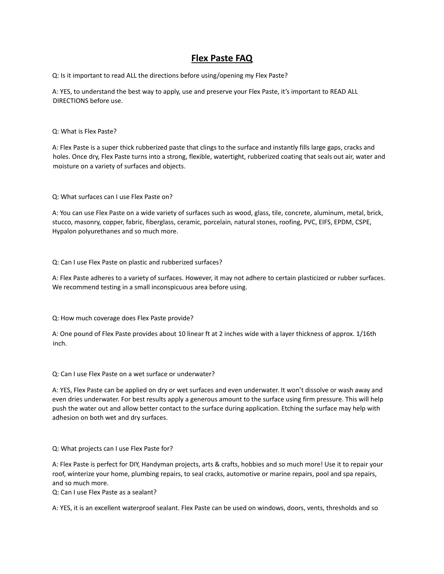# **Flex Paste FAQ**

Q: Is it important to read ALL the directions before using/opening my Flex Paste?

A: YES, to understand the best way to apply, use and preserve your Flex Paste, it's important to READ ALL DIRECTIONS before use.

## Q: What is Flex Paste?

A: Flex Paste is a super thick rubberized paste that clings to the surface and instantly fills large gaps, cracks and holes. Once dry, Flex Paste turns into a strong, flexible, watertight, rubberized coating that seals out air, water and moisture on a variety of surfaces and objects.

Q: What surfaces can I use Flex Paste on?

A: You can use Flex Paste on a wide variety of surfaces such as wood, glass, tile, concrete, aluminum, metal, brick, stucco, masonry, copper, fabric, fiberglass, ceramic, porcelain, natural stones, roofing, PVC, EIFS, EPDM, CSPE, Hypalon polyurethanes and so much more.

Q: Can I use Flex Paste on plastic and rubberized surfaces?

A: Flex Paste adheres to a variety of surfaces. However, it may not adhere to certain plasticized or rubber surfaces. We recommend testing in a small inconspicuous area before using.

Q: How much coverage does Flex Paste provide?

A: One pound of Flex Paste provides about 10 linear ft at 2 inches wide with a layer thickness of approx. 1/16th inch.

Q: Can I use Flex Paste on a wet surface or underwater?

A: YES, Flex Paste can be applied on dry or wet surfaces and even underwater. It won't dissolve or wash away and even dries underwater. For best results apply a generous amount to the surface using firm pressure. This will help push the water out and allow better contact to the surface during application. Etching the surface may help with adhesion on both wet and dry surfaces.

## Q: What projects can I use Flex Paste for?

A: Flex Paste is perfect for DIY, Handyman projects, arts & crafts, hobbies and so much more! Use it to repair your roof, winterize your home, plumbing repairs, to seal cracks, automotive or marine repairs, pool and spa repairs, and so much more.

Q: Can I use Flex Paste as a sealant?

A: YES, it is an excellent waterproof sealant. Flex Paste can be used on windows, doors, vents, thresholds and so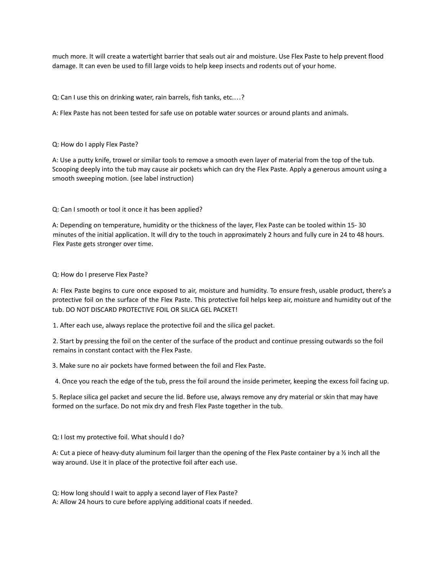much more. It will create a watertight barrier that seals out air and moisture. Use Flex Paste to help prevent flood damage. It can even be used to fill large voids to help keep insects and rodents out of your home.

Q: Can I use this on drinking water, rain barrels, fish tanks, etc.…?

A: Flex Paste has not been tested for safe use on potable water sources or around plants and animals.

#### Q: How do I apply Flex Paste?

A: Use a putty knife, trowel or similar tools to remove a smooth even layer of material from the top of the tub. Scooping deeply into the tub may cause air pockets which can dry the Flex Paste. Apply a generous amount using a smooth sweeping motion. (see label instruction)

Q: Can I smooth or tool it once it has been applied?

A: Depending on temperature, humidity or the thickness of the layer, Flex Paste can be tooled within 15- 30 minutes of the initial application. It will dry to the touch in approximately 2 hours and fully cure in 24 to 48 hours. Flex Paste gets stronger over time.

## Q: How do I preserve Flex Paste?

A: Flex Paste begins to cure once exposed to air, moisture and humidity. To ensure fresh, usable product, there's a protective foil on the surface of the Flex Paste. This protective foil helps keep air, moisture and humidity out of the tub. DO NOT DISCARD PROTECTIVE FOIL OR SILICA GEL PACKET!

1. After each use, always replace the protective foil and the silica gel packet.

2. Start by pressing the foil on the center of the surface of the product and continue pressing outwards so the foil remains in constant contact with the Flex Paste.

3. Make sure no air pockets have formed between the foil and Flex Paste.

4. Once you reach the edge of the tub, press the foil around the inside perimeter, keeping the excess foil facing up.

5. Replace silica gel packet and secure the lid. Before use, always remove any dry material or skin that may have formed on the surface. Do not mix dry and fresh Flex Paste together in the tub.

Q: I lost my protective foil. What should I do?

A: Cut a piece of heavy-duty aluminum foil larger than the opening of the Flex Paste container by a ½ inch all the way around. Use it in place of the protective foil after each use.

Q: How long should I wait to apply a second layer of Flex Paste?

A: Allow 24 hours to cure before applying additional coats if needed.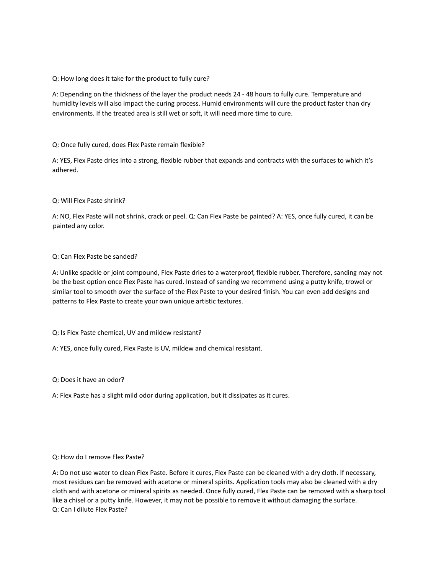Q: How long does it take for the product to fully cure?

A: Depending on the thickness of the layer the product needs 24 - 48 hours to fully cure. Temperature and humidity levels will also impact the curing process. Humid environments will cure the product faster than dry environments. If the treated area is still wet or soft, it will need more time to cure.

Q: Once fully cured, does Flex Paste remain flexible?

A: YES, Flex Paste dries into a strong, flexible rubber that expands and contracts with the surfaces to which it's adhered.

## Q: Will Flex Paste shrink?

A: NO, Flex Paste will not shrink, crack or peel. Q: Can Flex Paste be painted? A: YES, once fully cured, it can be painted any color.

## Q: Can Flex Paste be sanded?

A: Unlike spackle or joint compound, Flex Paste dries to a waterproof, flexible rubber. Therefore, sanding may not be the best option once Flex Paste has cured. Instead of sanding we recommend using a putty knife, trowel or similar tool to smooth over the surface of the Flex Paste to your desired finish. You can even add designs and patterns to Flex Paste to create your own unique artistic textures.

Q: Is Flex Paste chemical, UV and mildew resistant?

A: YES, once fully cured, Flex Paste is UV, mildew and chemical resistant.

Q: Does it have an odor?

A: Flex Paste has a slight mild odor during application, but it dissipates as it cures.

#### Q: How do I remove Flex Paste?

A: Do not use water to clean Flex Paste. Before it cures, Flex Paste can be cleaned with a dry cloth. If necessary, most residues can be removed with acetone or mineral spirits. Application tools may also be cleaned with a dry cloth and with acetone or mineral spirits as needed. Once fully cured, Flex Paste can be removed with a sharp tool like a chisel or a putty knife. However, it may not be possible to remove it without damaging the surface. Q: Can I dilute Flex Paste?